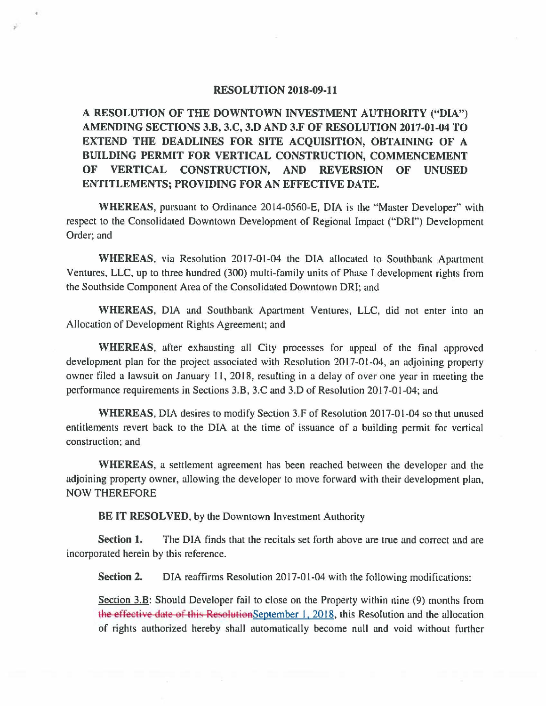## **RESOLUTION 2018-09-11**

*r* 

**A RESOLUTION OF THE DOWNTOWN INVESTMENT AUTHORITY ("DIA") AMENDING SECTIONS 3.B, 3.C, 3.D AND 3.F OF RESOLUTION 2017-01-04 TO EXTEND THE DEADLINES FOR SITE ACQUISITION, OBTAINING OF A BUILDING PERMIT FOR VERTICAL CONSTRUCTION, COMMENCEMENT OF VERTICAL CONSTRUCTION, AND REVERSION OF UNUSED ENTITLEMENTS; PROVIDING FOR AN EFFECTIVE DATE.** 

**WHEREAS,** pursuant to Ordinance 2014-0560-E, DIA is the "Master Developer" with respect to the Consolidated Downtown Development of Regional Impact ("ORI") Development Order; and

**WHEREAS,** via Resolution 2017-01-04 the DIA allocated to Southbank Apartment Ventures, LLC, up to three hundred (300) multi-family units of Phase I development rights from the Southside Component Area of the Consolidated Downtown ORI; and

**WHEREAS,** DIA and Southbank Apartment Ventures, LLC, did not enter into an Allocation of Development Rights Agreement; and

**WHEREAS,** after exhausting all City processes for appeal of the final approved development plan for the project associated with Resolution 20I7-01-04, an adjoining property owner filed a lawsuit on January 11, 2018, resulting in a delay of over one year in meeting the performance requirements in Sections 3.B, 3.C and 3.D of Resolution 2017-01-04; and

**WHEREAS,** DIA desires to modify Section 3.F of Resolution 20I7-01-04 so that unused entitlements revert back to the DIA at the time of issuance of a building permit for vertical construction; and

**WHEREAS,** a settlement agreement has been reached between the developer and the adjoining property owner, allowing the developer to move forward with their development plan, NOW THEREFORE

**BE IT RESOLVED,** by the Downtown Investment Authority

**Section 1.** The DIA finds that the recitals set forth above are true and correct and are incorporated herein by this reference.

**Section 2.** DIA reaffirms Resolution 2017-01-04 with the following modifications:

Section 3.B: Should Developer fail to close on the Property within nine (9) months from the effective date of this ResolutionSeptember 1, 2018, this Resolution and the allocation of rights authorized hereby shall automatically become null and void without further